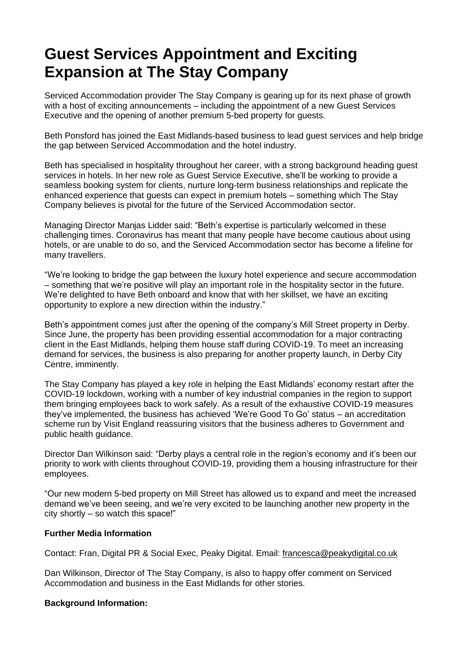## **Guest Services Appointment and Exciting Expansion at The Stay Company**

Serviced Accommodation provider The Stay Company is gearing up for its next phase of growth with a host of exciting announcements – including the appointment of a new Guest Services Executive and the opening of another premium 5-bed property for guests.

Beth Ponsford has joined the East Midlands-based business to lead guest services and help bridge the gap between Serviced Accommodation and the hotel industry.

Beth has specialised in hospitality throughout her career, with a strong background heading guest services in hotels. In her new role as Guest Service Executive, she'll be working to provide a seamless booking system for clients, nurture long-term business relationships and replicate the enhanced experience that guests can expect in premium hotels – something which The Stay Company believes is pivotal for the future of the Serviced Accommodation sector.

Managing Director Manjas Lidder said: "Beth's expertise is particularly welcomed in these challenging times. Coronavirus has meant that many people have become cautious about using hotels, or are unable to do so, and the Serviced Accommodation sector has become a lifeline for many travellers.

"We're looking to bridge the gap between the luxury hotel experience and secure accommodation – something that we're positive will play an important role in the hospitality sector in the future. We're delighted to have Beth onboard and know that with her skillset, we have an exciting opportunity to explore a new direction within the industry."

Beth's appointment comes just after the opening of the company's Mill Street property in Derby. Since June, the property has been providing essential accommodation for a major contracting client in the East Midlands, helping them house staff during COVID-19. To meet an increasing demand for services, the business is also preparing for another property launch, in Derby City Centre, imminently.

The Stay Company has played a key role in helping the East Midlands' economy restart after the COVID-19 lockdown, working with a number of key industrial companies in the region to support them bringing employees back to work safely. As a result of the exhaustive COVID-19 measures they've implemented, the business has achieved 'We're Good To Go' status – an accreditation scheme run by Visit England reassuring visitors that the business adheres to Government and public health guidance.

Director Dan Wilkinson said: "Derby plays a central role in the region's economy and it's been our priority to work with clients throughout COVID-19, providing them a housing infrastructure for their employees.

"Our new modern 5-bed property on Mill Street has allowed us to expand and meet the increased demand we've been seeing, and we're very excited to be launching another new property in the city shortly – so watch this space!"

## **Further Media Information**

Contact: Fran, Digital PR & Social Exec, Peaky Digital. Email: [francesca@peakydigital.co.uk](mailto:francesca@peakydigital.co.uk)

Dan Wilkinson, Director of The Stay Company, is also to happy offer comment on Serviced Accommodation and business in the East Midlands for other stories.

## **Background Information:**